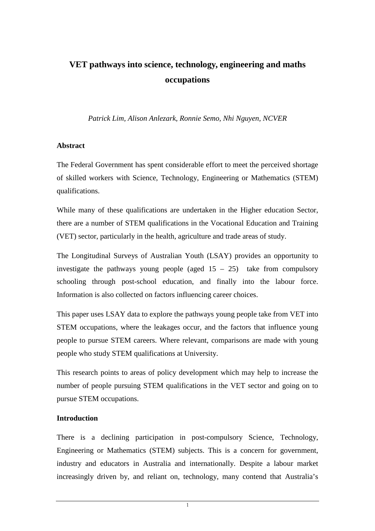# **VET pathways into science, technology, engineering and maths occupations**

*Patrick Lim, Alison Anlezark, Ronnie Semo, Nhi Nguyen, NCVER* 

#### **Abstract**

The Federal Government has spent considerable effort to meet the perceived shortage of skilled workers with Science, Technology, Engineering or Mathematics (STEM) qualifications.

While many of these qualifications are undertaken in the Higher education Sector, there are a number of STEM qualifications in the Vocational Education and Training (VET) sector, particularly in the health, agriculture and trade areas of study.

The Longitudinal Surveys of Australian Youth (LSAY) provides an opportunity to investigate the pathways young people (aged  $15 - 25$ ) take from compulsory schooling through post-school education, and finally into the labour force. Information is also collected on factors influencing career choices.

This paper uses LSAY data to explore the pathways young people take from VET into STEM occupations, where the leakages occur, and the factors that influence young people to pursue STEM careers. Where relevant, comparisons are made with young people who study STEM qualifications at University.

This research points to areas of policy development which may help to increase the number of people pursuing STEM qualifications in the VET sector and going on to pursue STEM occupations.

### **Introduction**

There is a declining participation in post-compulsory Science, Technology, Engineering or Mathematics (STEM) subjects. This is a concern for government, industry and educators in Australia and internationally. Despite a labour market increasingly driven by, and reliant on, technology, many contend that Australia's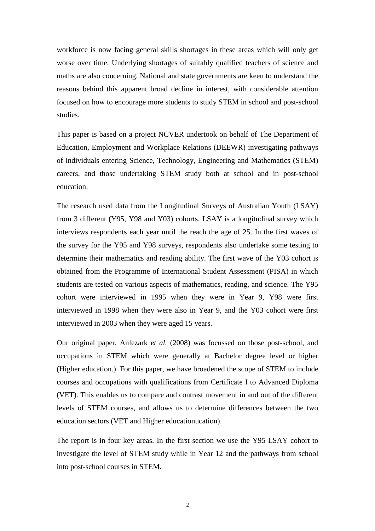workforce is now facing general skills shortages in these areas which will only get worse over time. Underlying shortages of suitably qualified teachers of science and maths are also concerning. National and state governments are keen to understand the reasons behind this apparent broad decline in interest, with considerable attention focused on how to encourage more students to study STEM in school and post-school studies.

This paper is based on a project NCVER undertook on behalf of The Department of Education, Employment and Workplace Relations (DEEWR) investigating pathways of individuals entering Science, Technology, Engineering and Mathematics (STEM) careers, and those undertaking STEM study both at school and in post-school education.

The research used data from the Longitudinal Surveys of Australian Youth (LSAY) from 3 different (Y95, Y98 and Y03) cohorts. LSAY is a longitudinal survey which interviews respondents each year until the reach the age of 25. In the first waves of the survey for the Y95 and Y98 surveys, respondents also undertake some testing to determine their mathematics and reading ability. The first wave of the Y03 cohort is obtained from the Programme of International Student Assessment (PISA) in which students are tested on various aspects of mathematics, reading, and science. The Y95 cohort were interviewed in 1995 when they were in Year 9, Y98 were first interviewed in 1998 when they were also in Year 9, and the Y03 cohort were first interviewed in 2003 when they were aged 15 years.

Our original paper, Anlezark *et al.* (2008) was focussed on those post-school, and occupations in STEM which were generally at Bachelor degree level or higher (Higher education.). For this paper, we have broadened the scope of STEM to include courses and occupations with qualifications from Certificate I to Advanced Diploma (VET). This enables us to compare and contrast movement in and out of the different levels of STEM courses, and allows us to determine differences between the two education sectors (VET and Higher educationucation).

The report is in four key areas. In the first section we use the Y95 LSAY cohort to investigate the level of STEM study while in Year 12 and the pathways from school into post-school courses in STEM.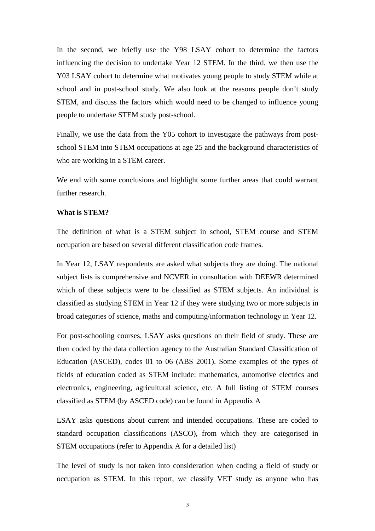In the second, we briefly use the Y98 LSAY cohort to determine the factors influencing the decision to undertake Year 12 STEM. In the third, we then use the Y03 LSAY cohort to determine what motivates young people to study STEM while at school and in post-school study. We also look at the reasons people don't study STEM, and discuss the factors which would need to be changed to influence young people to undertake STEM study post-school.

Finally, we use the data from the Y05 cohort to investigate the pathways from postschool STEM into STEM occupations at age 25 and the background characteristics of who are working in a STEM career.

We end with some conclusions and highlight some further areas that could warrant further research.

#### **What is STEM?**

The definition of what is a STEM subject in school, STEM course and STEM occupation are based on several different classification code frames.

In Year 12, LSAY respondents are asked what subjects they are doing. The national subject lists is comprehensive and NCVER in consultation with DEEWR determined which of these subjects were to be classified as STEM subjects. An individual is classified as studying STEM in Year 12 if they were studying two or more subjects in broad categories of science, maths and computing/information technology in Year 12.

For post-schooling courses, LSAY asks questions on their field of study. These are then coded by the data collection agency to the Australian Standard Classification of Education (ASCED), codes 01 to 06 (ABS 2001). Some examples of the types of fields of education coded as STEM include: mathematics, automotive electrics and electronics, engineering, agricultural science, etc. A full listing of STEM courses classified as STEM (by ASCED code) can be found in Appendix A

LSAY asks questions about current and intended occupations. These are coded to standard occupation classifications (ASCO), from which they are categorised in STEM occupations (refer to Appendix A for a detailed list)

The level of study is not taken into consideration when coding a field of study or occupation as STEM. In this report, we classify VET study as anyone who has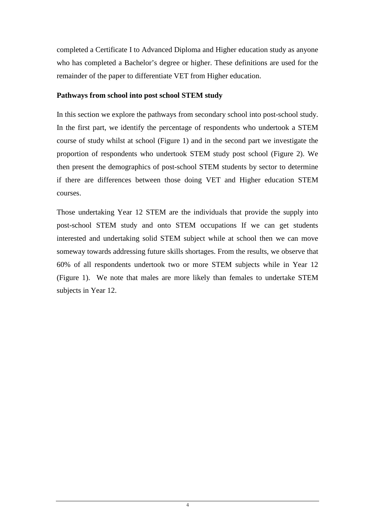completed a Certificate I to Advanced Diploma and Higher education study as anyone who has completed a Bachelor's degree or higher. These definitions are used for the remainder of the paper to differentiate VET from Higher education.

#### **Pathways from school into post school STEM study**

In this section we explore the pathways from secondary school into post-school study. In the first part, we identify the percentage of respondents who undertook a STEM course of study whilst at school (Figure 1) and in the second part we investigate the proportion of respondents who undertook STEM study post school (Figure 2). We then present the demographics of post-school STEM students by sector to determine if there are differences between those doing VET and Higher education STEM courses.

Those undertaking Year 12 STEM are the individuals that provide the supply into post-school STEM study and onto STEM occupations If we can get students interested and undertaking solid STEM subject while at school then we can move someway towards addressing future skills shortages. From the results, we observe that 60% of all respondents undertook two or more STEM subjects while in Year 12 (Figure 1). We note that males are more likely than females to undertake STEM subjects in Year 12.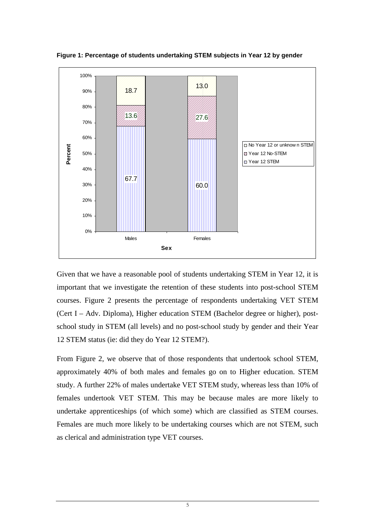

**Figure 1: Percentage of students undertaking STEM subjects in Year 12 by gender** 

Given that we have a reasonable pool of students undertaking STEM in Year 12, it is important that we investigate the retention of these students into post-school STEM courses. Figure 2 presents the percentage of respondents undertaking VET STEM (Cert I – Adv. Diploma), Higher education STEM (Bachelor degree or higher), postschool study in STEM (all levels) and no post-school study by gender and their Year 12 STEM status (ie: did they do Year 12 STEM?).

From Figure 2, we observe that of those respondents that undertook school STEM, approximately 40% of both males and females go on to Higher education. STEM study. A further 22% of males undertake VET STEM study, whereas less than 10% of females undertook VET STEM. This may be because males are more likely to undertake apprenticeships (of which some) which are classified as STEM courses. Females are much more likely to be undertaking courses which are not STEM, such as clerical and administration type VET courses.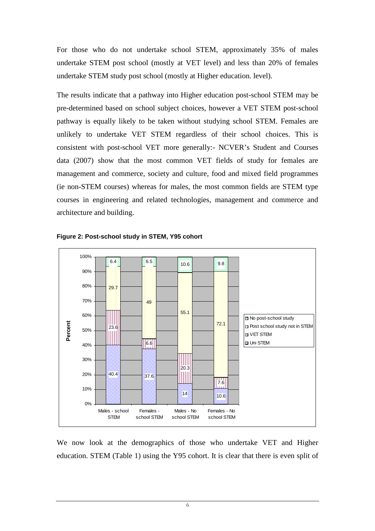For those who do not undertake school STEM, approximately 35% of males undertake STEM post school (mostly at VET level) and less than 20% of females undertake STEM study post school (mostly at Higher education. level).

The results indicate that a pathway into Higher education post-school STEM may be pre-determined based on school subject choices, however a VET STEM post-school pathway is equally likely to be taken without studying school STEM. Females are unlikely to undertake VET STEM regardless of their school choices. This is consistent with post-school VET more generally:- NCVER's Student and Courses data (2007) show that the most common VET fields of study for females are management and commerce, society and culture, food and mixed field programmes (ie non-STEM courses) whereas for males, the most common fields are STEM type courses in engineering and related technologies, management and commerce and architecture and building.





We now look at the demographics of those who undertake VET and Higher education. STEM (Table 1) using the Y95 cohort. It is clear that there is even split of

6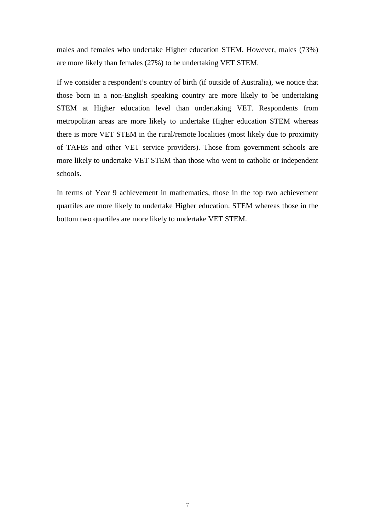males and females who undertake Higher education STEM. However, males (73%) are more likely than females (27%) to be undertaking VET STEM.

If we consider a respondent's country of birth (if outside of Australia), we notice that those born in a non-English speaking country are more likely to be undertaking STEM at Higher education level than undertaking VET. Respondents from metropolitan areas are more likely to undertake Higher education STEM whereas there is more VET STEM in the rural/remote localities (most likely due to proximity of TAFEs and other VET service providers). Those from government schools are more likely to undertake VET STEM than those who went to catholic or independent schools.

In terms of Year 9 achievement in mathematics, those in the top two achievement quartiles are more likely to undertake Higher education. STEM whereas those in the bottom two quartiles are more likely to undertake VET STEM.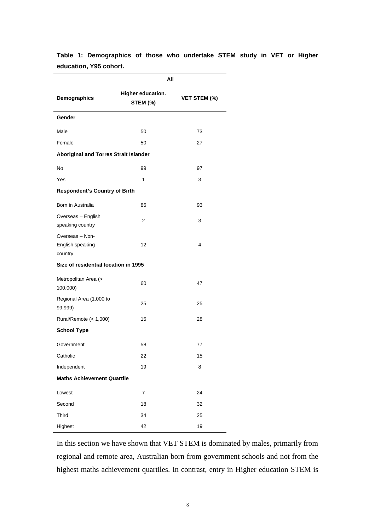|                                                | All                           |                     |  |  |  |  |
|------------------------------------------------|-------------------------------|---------------------|--|--|--|--|
| Demographics                                   | Higher education.<br>STEM (%) | <b>VET STEM (%)</b> |  |  |  |  |
| Gender                                         |                               |                     |  |  |  |  |
| Male                                           | 50                            | 73                  |  |  |  |  |
| Female                                         | 50                            | 27                  |  |  |  |  |
| <b>Aboriginal and Torres Strait Islander</b>   |                               |                     |  |  |  |  |
| No                                             | 99                            | 97                  |  |  |  |  |
| Yes                                            | 1                             | 3                   |  |  |  |  |
| <b>Respondent's Country of Birth</b>           |                               |                     |  |  |  |  |
| Born in Australia                              | 86                            | 93                  |  |  |  |  |
| Overseas - English<br>speaking country         | 2                             | 3                   |  |  |  |  |
| Overseas - Non-<br>English speaking<br>country | 12                            | 4                   |  |  |  |  |
| Size of residential location in 1995           |                               |                     |  |  |  |  |
| Metropolitan Area (><br>100,000)               | 60                            | 47                  |  |  |  |  |
| Regional Area (1,000 to<br>99,999)             | 25                            | 25                  |  |  |  |  |
| Rural/Remote (< 1,000)                         | 15                            | 28                  |  |  |  |  |
| <b>School Type</b>                             |                               |                     |  |  |  |  |
| Government                                     | 58                            | 77                  |  |  |  |  |
| Catholic                                       | 22                            | 15                  |  |  |  |  |
| Independent                                    | 19                            | 8                   |  |  |  |  |
| <b>Maths Achievement Quartile</b>              |                               |                     |  |  |  |  |
| Lowest                                         | $\boldsymbol{7}$              | 24                  |  |  |  |  |
| Second                                         | 18                            | 32                  |  |  |  |  |
| Third                                          | 34                            | 25                  |  |  |  |  |
| Highest                                        | 42                            | 19                  |  |  |  |  |

**Table 1: Demographics of those who undertake STEM study in VET or Higher education, Y95 cohort.** 

In this section we have shown that VET STEM is dominated by males, primarily from regional and remote area, Australian born from government schools and not from the highest maths achievement quartiles. In contrast, entry in Higher education STEM is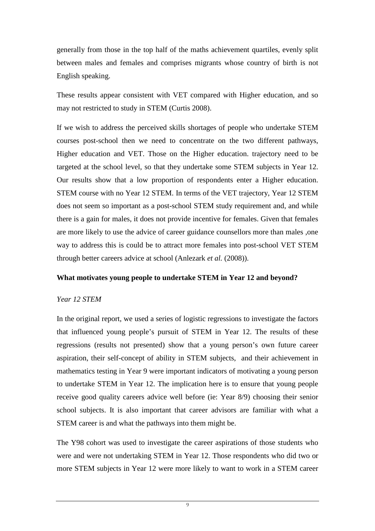generally from those in the top half of the maths achievement quartiles, evenly split between males and females and comprises migrants whose country of birth is not English speaking.

These results appear consistent with VET compared with Higher education, and so may not restricted to study in STEM (Curtis 2008).

If we wish to address the perceived skills shortages of people who undertake STEM courses post-school then we need to concentrate on the two different pathways, Higher education and VET. Those on the Higher education. trajectory need to be targeted at the school level, so that they undertake some STEM subjects in Year 12. Our results show that a low proportion of respondents enter a Higher education. STEM course with no Year 12 STEM. In terms of the VET trajectory, Year 12 STEM does not seem so important as a post-school STEM study requirement and, and while there is a gain for males, it does not provide incentive for females. Given that females are more likely to use the advice of career guidance counsellors more than males ,one way to address this is could be to attract more females into post-school VET STEM through better careers advice at school (Anlezark *et al.* (2008)).

#### **What motivates young people to undertake STEM in Year 12 and beyond?**

#### *Year 12 STEM*

In the original report, we used a series of logistic regressions to investigate the factors that influenced young people's pursuit of STEM in Year 12. The results of these regressions (results not presented) show that a young person's own future career aspiration, their self-concept of ability in STEM subjects, and their achievement in mathematics testing in Year 9 were important indicators of motivating a young person to undertake STEM in Year 12. The implication here is to ensure that young people receive good quality careers advice well before (ie: Year 8/9) choosing their senior school subjects. It is also important that career advisors are familiar with what a STEM career is and what the pathways into them might be.

The Y98 cohort was used to investigate the career aspirations of those students who were and were not undertaking STEM in Year 12. Those respondents who did two or more STEM subjects in Year 12 were more likely to want to work in a STEM career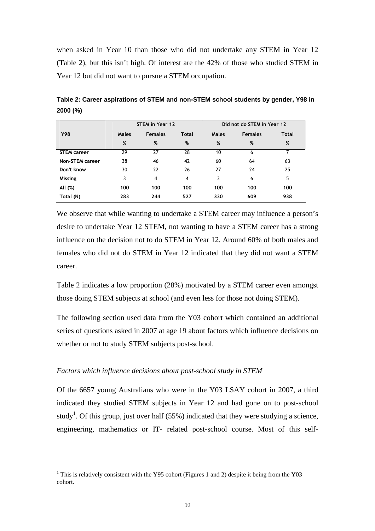when asked in Year 10 than those who did not undertake any STEM in Year 12 (Table 2), but this isn't high. Of interest are the 42% of those who studied STEM in Year 12 but did not want to pursue a STEM occupation.

|                        | STEM in Year 12 |                |              | Did not do STEM in Year 12 |                |              |
|------------------------|-----------------|----------------|--------------|----------------------------|----------------|--------------|
| <b>Y98</b>             | Males           | <b>Females</b> | <b>Total</b> | Males                      | <b>Females</b> | <b>Total</b> |
|                        | %               | %              | %            | %                          | %              | %            |
| <b>STEM career</b>     | 29              | 27             | 28           | 10                         | 6              |              |
| <b>Non-STEM career</b> | 38              | 46             | 42           | 60                         | 64             | 63           |
| Don't know             | 30              | 22             | 26           | 27                         | 24             | 25           |
| <b>Missing</b>         | 3               | 4              | 4            | 3                          | 6              | 5            |
| All (%)                | 100             | 100            | 100          | 100                        | 100            | 100          |
| Total (N)              | 283             | 244            | 527          | 330                        | 609            | 938          |

**Table 2: Career aspirations of STEM and non-STEM school students by gender, Y98 in 2000 (%)** 

We observe that while wanting to undertake a STEM career may influence a person's desire to undertake Year 12 STEM, not wanting to have a STEM career has a strong influence on the decision not to do STEM in Year 12. Around 60% of both males and females who did not do STEM in Year 12 indicated that they did not want a STEM career.

Table 2 indicates a low proportion (28%) motivated by a STEM career even amongst those doing STEM subjects at school (and even less for those not doing STEM).

The following section used data from the Y03 cohort which contained an additional series of questions asked in 2007 at age 19 about factors which influence decisions on whether or not to study STEM subjects post-school.

#### *Factors which influence decisions about post-school study in STEM*

 $\overline{a}$ 

Of the 6657 young Australians who were in the Y03 LSAY cohort in 2007, a third indicated they studied STEM subjects in Year 12 and had gone on to post-school study<sup>1</sup>. Of this group, just over half (55%) indicated that they were studying a science, engineering, mathematics or IT- related post-school course. Most of this self-

<sup>&</sup>lt;sup>1</sup> This is relatively consistent with the Y95 cohort (Figures 1 and 2) despite it being from the Y03 cohort.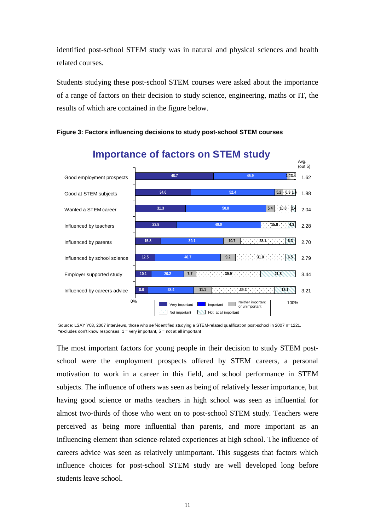identified post-school STEM study was in natural and physical sciences and health related courses.

Students studying these post-school STEM courses were asked about the importance of a range of factors on their decision to study science, engineering, maths or IT, the results of which are contained in the figure below.



**Figure 3: Factors influencing decisions to study post-school STEM courses** 

\*excludes don't know responses,  $1 =$  very important,  $5 =$  not at all important Source: LSAY Y03, 2007 interviews, those who self-identified studying a STEM-related qualification post-school in 2007 n=1221.

The most important factors for young people in their decision to study STEM postschool were the employment prospects offered by STEM careers, a personal motivation to work in a career in this field, and school performance in STEM subjects. The influence of others was seen as being of relatively lesser importance, but having good science or maths teachers in high school was seen as influential for almost two-thirds of those who went on to post-school STEM study. Teachers were perceived as being more influential than parents, and more important as an influencing element than science-related experiences at high school. The influence of careers advice was seen as relatively unimportant. This suggests that factors which influence choices for post-school STEM study are well developed long before students leave school.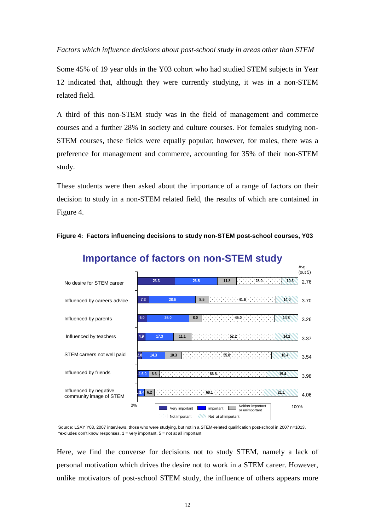*Factors which influence decisions about post-school study in areas other than STEM* 

Some 45% of 19 year olds in the Y03 cohort who had studied STEM subjects in Year 12 indicated that, although they were currently studying, it was in a non-STEM related field.

A third of this non-STEM study was in the field of management and commerce courses and a further 28% in society and culture courses. For females studying non-STEM courses, these fields were equally popular; however, for males, there was a preference for management and commerce, accounting for 35% of their non-STEM study.

These students were then asked about the importance of a range of factors on their decision to study in a non-STEM related field, the results of which are contained in Figure 4.





## **Importance of factors on non-STEM study**

\*excludes don't know responses, 1 = very important, 5 = not at all important Source: LSAY Y03, 2007 interviews, those who were studying, but not in a STEM-related qualification post-school in 2007 n=1013.

Here, we find the converse for decisions not to study STEM, namely a lack of personal motivation which drives the desire not to work in a STEM career. However, unlike motivators of post-school STEM study, the influence of others appears more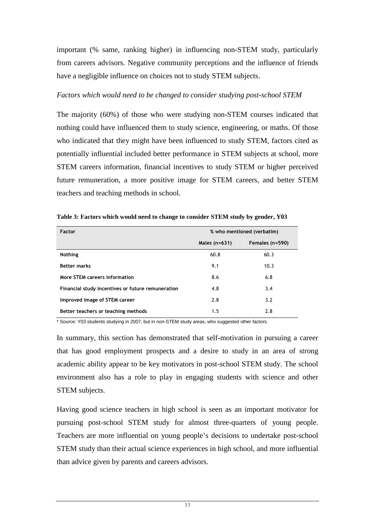important (% same, ranking higher) in influencing non-STEM study, particularly from careers advisors. Negative community perceptions and the influence of friends have a negligible influence on choices not to study STEM subjects.

#### *Factors which would need to be changed to consider studying post-school STEM*

The majority (60%) of those who were studying non-STEM courses indicated that nothing could have influenced them to study science, engineering, or maths. Of those who indicated that they might have been influenced to study STEM, factors cited as potentially influential included better performance in STEM subjects at school, more STEM careers information, financial incentives to study STEM or higher perceived future remuneration, a more positive image for STEM careers, and better STEM teachers and teaching methods in school.

| Factor                                            | % who mentioned (verbatim) |                 |  |
|---------------------------------------------------|----------------------------|-----------------|--|
|                                                   | Males $(n=631)$            | Females (n=590) |  |
| <b>Nothing</b>                                    | 60.8                       | 60.3            |  |
| <b>Better marks</b>                               | 9.1                        | 10.3            |  |
| More STEM careers information                     | 8.6                        | 6.8             |  |
| Financial study incentives or future remuneration | 4.8                        | 3.4             |  |
| Improved image of STEM career                     | 2.8                        | 3.2             |  |
| Better teachers or teaching methods               | 1.5                        | 2.8             |  |

**Table 3: Factors which would need to change to consider STEM study by gender, Y03** 

\* Source: Y03 students studying in 2007, but in non-STEM study areas, who suggested other factors.

In summary, this section has demonstrated that self-motivation in pursuing a career that has good employment prospects and a desire to study in an area of strong academic ability appear to be key motivators in post-school STEM study. The school environment also has a role to play in engaging students with science and other STEM subjects.

Having good science teachers in high school is seen as an important motivator for pursuing post-school STEM study for almost three-quarters of young people. Teachers are more influential on young people's decisions to undertake post-school STEM study than their actual science experiences in high school, and more influential than advice given by parents and careers advisors.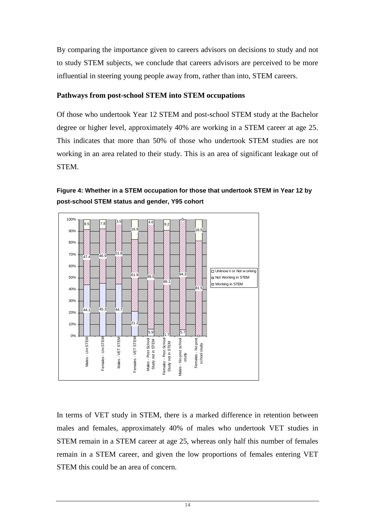By comparing the importance given to careers advisors on decisions to study and not to study STEM subjects, we conclude that careers advisors are perceived to be more influential in steering young people away from, rather than into, STEM careers.

### **Pathways from post-school STEM into STEM occupations**

Of those who undertook Year 12 STEM and post-school STEM study at the Bachelor degree or higher level, approximately 40% are working in a STEM career at age 25. This indicates that more than 50% of those who undertook STEM studies are not working in an area related to their study. This is an area of significant leakage out of STEM.





In terms of VET study in STEM, there is a marked difference in retention between males and females, approximately 40% of males who undertook VET studies in STEM remain in a STEM career at age 25, whereas only half this number of females remain in a STEM career, and given the low proportions of females entering VET STEM this could be an area of concern.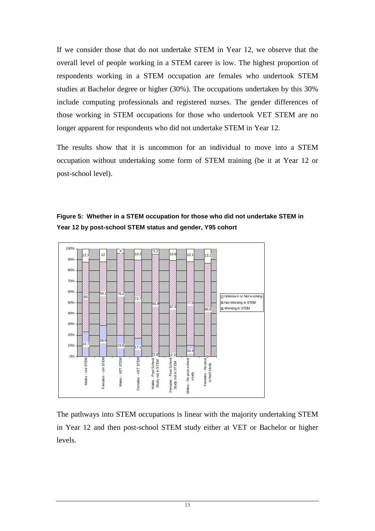If we consider those that do not undertake STEM in Year 12, we observe that the overall level of people working in a STEM career is low. The highest proportion of respondents working in a STEM occupation are females who undertook STEM studies at Bachelor degree or higher (30%). The occupations undertaken by this 30% include computing professionals and registered nurses. The gender differences of those working in STEM occupations for those who undertook VET STEM are no longer apparent for respondents who did not undertake STEM in Year 12.

The results show that it is uncommon for an individual to move into a STEM occupation without undertaking some form of STEM training (be it at Year 12 or post-school level).



**Figure 5: Whether in a STEM occupation for those who did not undertake STEM in Year 12 by post-school STEM status and gender, Y95 cohort** 

The pathways into STEM occupations is linear with the majority undertaking STEM in Year 12 and then post-school STEM study either at VET or Bachelor or higher levels.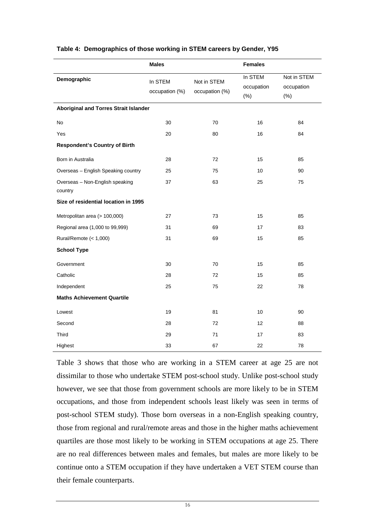|                                              | <b>Males</b>              |                               | <b>Females</b>                  |                                  |  |  |  |
|----------------------------------------------|---------------------------|-------------------------------|---------------------------------|----------------------------------|--|--|--|
| Demographic                                  | In STEM<br>occupation (%) | Not in STEM<br>occupation (%) | In STEM<br>occupation<br>$(\%)$ | Not in STEM<br>occupation<br>(%) |  |  |  |
| <b>Aboriginal and Torres Strait Islander</b> |                           |                               |                                 |                                  |  |  |  |
| No                                           | 30                        | 70                            | 16                              | 84                               |  |  |  |
| Yes                                          | 20                        | 80                            | 16                              | 84                               |  |  |  |
| <b>Respondent's Country of Birth</b>         |                           |                               |                                 |                                  |  |  |  |
| Born in Australia                            | 28                        | 72                            | 15                              | 85                               |  |  |  |
| Overseas - English Speaking country          | 25                        | 75                            | 10                              | 90                               |  |  |  |
| Overseas - Non-English speaking<br>country   | 37                        | 63                            | 25                              | 75                               |  |  |  |
| Size of residential location in 1995         |                           |                               |                                 |                                  |  |  |  |
| Metropolitan area (> 100,000)                | 27                        | 73                            | 15                              | 85                               |  |  |  |
| Regional area (1,000 to 99,999)              | 31                        | 69                            | 17                              | 83                               |  |  |  |
| Rural/Remote (< 1,000)                       | 31                        | 69                            | 15                              | 85                               |  |  |  |
| <b>School Type</b>                           |                           |                               |                                 |                                  |  |  |  |
| Government                                   | 30                        | 70                            | 15                              | 85                               |  |  |  |
| Catholic                                     | 28                        | 72                            | 15                              | 85                               |  |  |  |
| Independent                                  | 25                        | 75                            | 22                              | 78                               |  |  |  |
| <b>Maths Achievement Quartile</b>            |                           |                               |                                 |                                  |  |  |  |
| Lowest                                       | 19                        | 81                            | 10                              | 90                               |  |  |  |
| Second                                       | 28                        | 72                            | 12                              | 88                               |  |  |  |
| Third                                        | 29                        | 71                            | 17                              | 83                               |  |  |  |
| Highest                                      | 33                        | 67                            | 22                              | 78                               |  |  |  |

#### **Table 4: Demographics of those working in STEM careers by Gender, Y95**

Table 3 shows that those who are working in a STEM career at age 25 are not dissimilar to those who undertake STEM post-school study. Unlike post-school study however, we see that those from government schools are more likely to be in STEM occupations, and those from independent schools least likely was seen in terms of post-school STEM study). Those born overseas in a non-English speaking country, those from regional and rural/remote areas and those in the higher maths achievement quartiles are those most likely to be working in STEM occupations at age 25. There are no real differences between males and females, but males are more likely to be continue onto a STEM occupation if they have undertaken a VET STEM course than their female counterparts.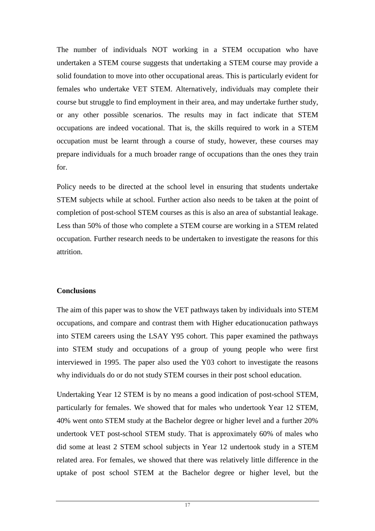The number of individuals NOT working in a STEM occupation who have undertaken a STEM course suggests that undertaking a STEM course may provide a solid foundation to move into other occupational areas. This is particularly evident for females who undertake VET STEM. Alternatively, individuals may complete their course but struggle to find employment in their area, and may undertake further study, or any other possible scenarios. The results may in fact indicate that STEM occupations are indeed vocational. That is, the skills required to work in a STEM occupation must be learnt through a course of study, however, these courses may prepare individuals for a much broader range of occupations than the ones they train for.

Policy needs to be directed at the school level in ensuring that students undertake STEM subjects while at school. Further action also needs to be taken at the point of completion of post-school STEM courses as this is also an area of substantial leakage. Less than 50% of those who complete a STEM course are working in a STEM related occupation. Further research needs to be undertaken to investigate the reasons for this attrition.

#### **Conclusions**

The aim of this paper was to show the VET pathways taken by individuals into STEM occupations, and compare and contrast them with Higher educationucation pathways into STEM careers using the LSAY Y95 cohort. This paper examined the pathways into STEM study and occupations of a group of young people who were first interviewed in 1995. The paper also used the Y03 cohort to investigate the reasons why individuals do or do not study STEM courses in their post school education.

Undertaking Year 12 STEM is by no means a good indication of post-school STEM, particularly for females. We showed that for males who undertook Year 12 STEM, 40% went onto STEM study at the Bachelor degree or higher level and a further 20% undertook VET post-school STEM study. That is approximately 60% of males who did some at least 2 STEM school subjects in Year 12 undertook study in a STEM related area. For females, we showed that there was relatively little difference in the uptake of post school STEM at the Bachelor degree or higher level, but the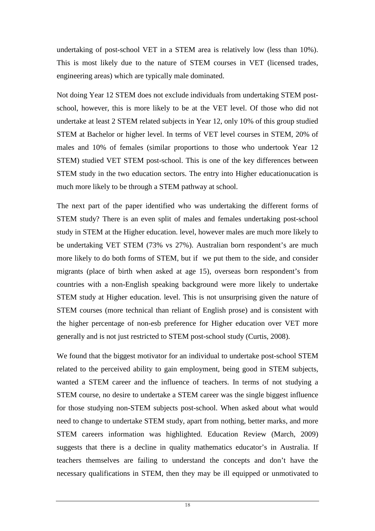undertaking of post-school VET in a STEM area is relatively low (less than 10%). This is most likely due to the nature of STEM courses in VET (licensed trades, engineering areas) which are typically male dominated.

Not doing Year 12 STEM does not exclude individuals from undertaking STEM postschool, however, this is more likely to be at the VET level. Of those who did not undertake at least 2 STEM related subjects in Year 12, only 10% of this group studied STEM at Bachelor or higher level. In terms of VET level courses in STEM, 20% of males and 10% of females (similar proportions to those who undertook Year 12 STEM) studied VET STEM post-school. This is one of the key differences between STEM study in the two education sectors. The entry into Higher educationucation is much more likely to be through a STEM pathway at school.

The next part of the paper identified who was undertaking the different forms of STEM study? There is an even split of males and females undertaking post-school study in STEM at the Higher education. level, however males are much more likely to be undertaking VET STEM (73% vs 27%). Australian born respondent's are much more likely to do both forms of STEM, but if we put them to the side, and consider migrants (place of birth when asked at age 15), overseas born respondent's from countries with a non-English speaking background were more likely to undertake STEM study at Higher education. level. This is not unsurprising given the nature of STEM courses (more technical than reliant of English prose) and is consistent with the higher percentage of non-esb preference for Higher education over VET more generally and is not just restricted to STEM post-school study (Curtis, 2008).

We found that the biggest motivator for an individual to undertake post-school STEM related to the perceived ability to gain employment, being good in STEM subjects, wanted a STEM career and the influence of teachers. In terms of not studying a STEM course, no desire to undertake a STEM career was the single biggest influence for those studying non-STEM subjects post-school. When asked about what would need to change to undertake STEM study, apart from nothing, better marks, and more STEM careers information was highlighted. Education Review (March, 2009) suggests that there is a decline in quality mathematics educator's in Australia. If teachers themselves are failing to understand the concepts and don't have the necessary qualifications in STEM, then they may be ill equipped or unmotivated to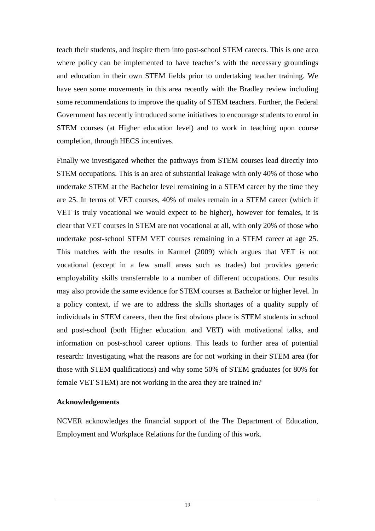teach their students, and inspire them into post-school STEM careers. This is one area where policy can be implemented to have teacher's with the necessary groundings and education in their own STEM fields prior to undertaking teacher training. We have seen some movements in this area recently with the Bradley review including some recommendations to improve the quality of STEM teachers. Further, the Federal Government has recently introduced some initiatives to encourage students to enrol in STEM courses (at Higher education level) and to work in teaching upon course completion, through HECS incentives.

Finally we investigated whether the pathways from STEM courses lead directly into STEM occupations. This is an area of substantial leakage with only 40% of those who undertake STEM at the Bachelor level remaining in a STEM career by the time they are 25. In terms of VET courses, 40% of males remain in a STEM career (which if VET is truly vocational we would expect to be higher), however for females, it is clear that VET courses in STEM are not vocational at all, with only 20% of those who undertake post-school STEM VET courses remaining in a STEM career at age 25. This matches with the results in Karmel (2009) which argues that VET is not vocational (except in a few small areas such as trades) but provides generic employability skills transferrable to a number of different occupations. Our results may also provide the same evidence for STEM courses at Bachelor or higher level. In a policy context, if we are to address the skills shortages of a quality supply of individuals in STEM careers, then the first obvious place is STEM students in school and post-school (both Higher education. and VET) with motivational talks, and information on post-school career options. This leads to further area of potential research: Investigating what the reasons are for not working in their STEM area (for those with STEM qualifications) and why some 50% of STEM graduates (or 80% for female VET STEM) are not working in the area they are trained in?

#### **Acknowledgements**

NCVER acknowledges the financial support of the The Department of Education, Employment and Workplace Relations for the funding of this work.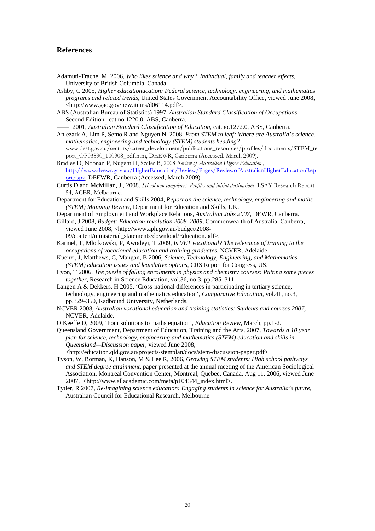#### **References**

- Adamuti-Trache, M, 2006, *Who likes science and why? Individual, family and teacher effects*, University of British Columbia, Canada.
- Ashby, C 2005, *Higher educationucation: Federal science, technology, engineering, and mathematics programs and related trends*, United States Government Accountability Office, viewed June 2008, <http://www.gao.gov/new.items/d06114.pdf>.
- ABS (Australian Bureau of Statistics) 1997, *Australian Standard Classification of Occupations*, Second Edition, cat.no.1220.0, ABS, Canberra.

—— 2001, *Australian Standard Classification of Education*, cat.no.1272.0, ABS, Canberra.

- Anlezark A, Lim P, Semo R and Nguyen N, 2008, *From STEM to leaf: Where are Australia's science, mathematics, engineering and technology (STEM) students heading?*
- www.dest.gov.au/sectors/career\_development/publications\_resources/profiles/documents/STEM\_re port\_OP03890\_100908\_pdf.htm, DEEWR, Canberra (Accessed. March 2009).
- Bradley D, Noonan P, Nugent H, Scales B, 2008 Review of Australian Higher Education , http://www.deewr.gov.au/HigherEducation/Review/Pages/ReviewofAustralianHigherEducationRep ort.aspx, DEEWR, Canberra (Accessed, March 2009)
- Curtis D and McMillan, J., 2008. School non-completers: Profiles and initial destinations, LSAY Research Report 54, ACER, Melbourne.
- Department for Education and Skills 2004, *Report on the science, technology, engineering and maths (STEM) Mapping Review*, Department for Education and Skills, UK.
- Department of Employment and Workplace Relations, *Australian Jobs 2007*, DEWR, Canberra.
- Gillard, J 2008, *Budget: Education revolution 2008–2009*, Commonwealth of Australia, Canberra, viewed June 2008, <http://www.aph.gov.au/budget/2008-

09/content/ministerial\_statements/download/Education.pdf>.

- Karmel, T, Mlotkowski, P, Awodeyi, T 2009, *Is VET vocational? The relevance of training to the occupations of vocational education and training graduates*, NCVER, Adelaide.
- Kuenzi, J, Matthews, C, Mangan, B 2006, *Science, Technology, Engineering, and Mathematics (STEM) education issues and legislative options*, CRS Report for Congress, US.
- Lyon, T 2006, *The puzzle of falling enrolments in physics and chemistry courses: Putting some pieces together*, Research in Science Education, vol.36, no.3, pp.285–311.
- Langen A & Dekkers, H 2005, 'Cross-national differences in participating in tertiary science, technology, engineering and mathematics education', *Comparative Education*, vol.41, no.3, pp.329–350, Radbound University, Netherlands.
- NCVER 2008, *Australian vocational education and training statistics: Students and courses 2007*, NCVER, Adelaide.
- O Keeffe D, 2009, 'Four solutions to maths equation'*, Education Review*, March, pp.1-2.
- Queensland Government, Department of Education, Training and the Arts, 2007, *Towards a 10 year plan for science, technology, engineering and mathematics (STEM) education and skills in Queensland—Discussion paper*, viewed June 2008,

<http://education.qld.gov.au/projects/stemplan/docs/stem-discussion-paper.pdf>.

- Tyson, W, Borman, K, Hanson, M & Lee R, 2006, *Growing STEM students: High school pathways and STEM degree attainment*, paper presented at the annual meeting of the American Sociological Association, Montreal Convention Center, Montreal, Quebec, Canada, Aug 11, 2006, viewed June 2007, <http://www.allacademic.com/meta/p104344\_index.html>.
- Tytler, R 2007, *Re-imagining science education: Engaging students in science for Australia's future*, Australian Council for Educational Research, Melbourne.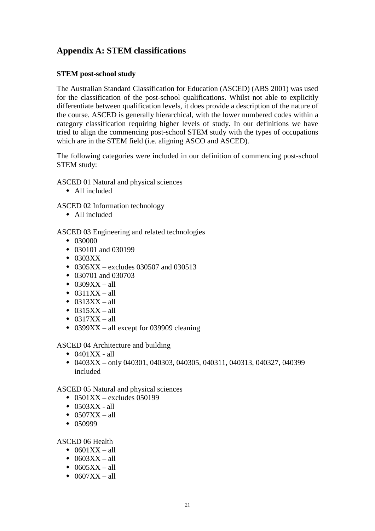## **Appendix A: STEM classifications**

#### **STEM post-school study**

The Australian Standard Classification for Education (ASCED) (ABS 2001) was used for the classification of the post-school qualifications. Whilst not able to explicitly differentiate between qualification levels, it does provide a description of the nature of the course. ASCED is generally hierarchical, with the lower numbered codes within a category classification requiring higher levels of study. In our definitions we have tried to align the commencing post-school STEM study with the types of occupations which are in the STEM field (i.e. aligning ASCO and ASCED).

The following categories were included in our definition of commencing post-school STEM study:

ASCED 01 Natural and physical sciences

All included

ASCED 02 Information technology

All included

ASCED 03 Engineering and related technologies

- $\div$  030000
- $\bullet$  030101 and 030199
- $\bullet$  0303XX
- 0305XX excludes 030507 and 030513
- $\bullet$  030701 and 030703
- $\bullet$  0309XX all
- $\triangleleft$  0311XX all
- $\bullet$  0313XX all
- $\triangleleft$  0315XX all
- $\triangleleft$  0317XX all
- $\bullet$  0399XX all except for 039909 cleaning

ASCED 04 Architecture and building

- $\bullet$  0401XX all
- $\bullet$  0403XX only 040301, 040303, 040305, 040311, 040313, 040327, 040399 included

ASCED 05 Natural and physical sciences

- $\div$  0501XX excludes 050199
- $\triangleleft$  0503XX all
- $\bullet$  0507XX all
- $\star$  050999

ASCED 06 Health

- $\bullet$  0601XX all
- $\triangleleft$  0603XX all
- $\triangleleft$  0605XX all
- $\triangleleft$  0607XX all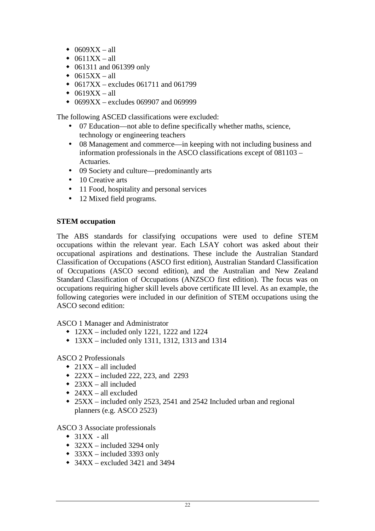- $\bullet$  0609XX all
- $\bullet$  0611XX all
- 061311 and 061399 only
- $\bullet$  0615XX all
- $\bullet$  0617XX excludes 061711 and 061799
- $\triangleleft$  0619XX all
- $\bullet$  0699XX excludes 069907 and 069999

The following ASCED classifications were excluded:

- 07 Education—not able to define specifically whether maths, science, technology or engineering teachers
- 08 Management and commerce—in keeping with not including business and information professionals in the ASCO classifications except of 081103 – Actuaries.
- 09 Society and culture—predominantly arts
- 10 Creative arts
- 11 Food, hospitality and personal services
- 12 Mixed field programs.

#### **STEM occupation**

The ABS standards for classifying occupations were used to define STEM occupations within the relevant year. Each LSAY cohort was asked about their occupational aspirations and destinations. These include the Australian Standard Classification of Occupations (ASCO first edition), Australian Standard Classification of Occupations (ASCO second edition), and the Australian and New Zealand Standard Classification of Occupations (ANZSCO first edition). The focus was on occupations requiring higher skill levels above certificate III level. As an example, the following categories were included in our definition of STEM occupations using the ASCO second edition:

ASCO 1 Manager and Administrator

- $\cdot$  12XX included only 1221, 1222 and 1224
- $13XX included only 1311, 1312, 1313, and 1314$

ASCO 2 Professionals

- $\triangleleft$  21XX all included
- $\bullet$  22XX included 222, 223, and 2293
- $\triangleq$  23XX all included
- $\triangleq$  24XX all excluded
- 25XX included only 2523, 2541 and 2542 Included urban and regional planners (e.g. ASCO 2523)

ASCO 3 Associate professionals

- $\triangleleft$  31XX all
- $\triangleleft$  32XX included 3294 only
- $\triangleleft$  33XX included 3393 only
- $\bullet$  34XX excluded 3421 and 3494